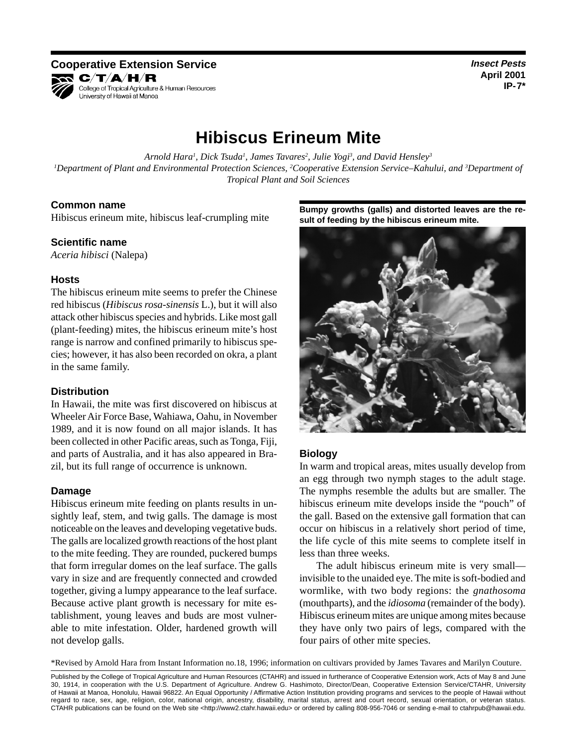**Cooperative Extension Service Insect Pests** *Insect Pests* **R C/T/A/H/R** College of Tropical Agriculture & Human Resources University of Hawaii at Manoa

**April 2001 IP-7\*** 

# **Hibiscus Erineum Mite**

Arnold Hara<sup>1</sup>, Dick Tsuda<sup>1</sup>, James Tavares<sup>2</sup>, Julie Yogi<sup>3</sup>, and David Hensley<sup>3</sup> *1 Department of Plant and Environmental Protection Sciences, 2 Cooperative Extension Service–Kahului, and 3 Department of Tropical Plant and Soil Sciences* 

## **Common name**

Hibiscus erineum mite, hibiscus leaf-crumpling mite

## **Scientific name**

*Aceria hibisci* (Nalepa)

## **Hosts**

The hibiscus erineum mite seems to prefer the Chinese red hibiscus (*Hibiscus rosa-sinensis* L.), but it will also attack other hibiscus species and hybrids. Like most gall (plant-feeding) mites, the hibiscus erineum mite's host range is narrow and confined primarily to hibiscus species; however, it has also been recorded on okra, a plant in the same family.

#### **Distribution**

In Hawaii, the mite was first discovered on hibiscus at Wheeler Air Force Base, Wahiawa, Oahu, in November 1989, and it is now found on all major islands. It has been collected in other Pacific areas, such as Tonga, Fiji, and parts of Australia, and it has also appeared in Brazil, but its full range of occurrence is unknown.

#### **Damage**

Hibiscus erineum mite feeding on plants results in unsightly leaf, stem, and twig galls. The damage is most noticeable on the leaves and developing vegetative buds. The galls are localized growth reactions of the host plant to the mite feeding. They are rounded, puckered bumps that form irregular domes on the leaf surface. The galls vary in size and are frequently connected and crowded together, giving a lumpy appearance to the leaf surface. Because active plant growth is necessary for mite establishment, young leaves and buds are most vulnerable to mite infestation. Older, hardened growth will not develop galls.

**Bumpy growths (galls) and distorted leaves are the result of feeding by the hibiscus erineum mite.** 



# **Biology**

In warm and tropical areas, mites usually develop from an egg through two nymph stages to the adult stage. The nymphs resemble the adults but are smaller. The hibiscus erineum mite develops inside the "pouch" of the gall. Based on the extensive gall formation that can occur on hibiscus in a relatively short period of time, the life cycle of this mite seems to complete itself in less than three weeks.

The adult hibiscus erineum mite is very small invisible to the unaided eye. The mite is soft-bodied and wormlike, with two body regions: the *gnathosoma*  (mouthparts), and the *idiosoma* (remainder of the body). Hibiscus erineum mites are unique among mites because they have only two pairs of legs, compared with the four pairs of other mite species.

\*Revised by Arnold Hara from Instant Information no.18, 1996; information on cultivars provided by James Tavares and Marilyn Couture.

Published by the College of Tropical Agriculture and Human Resources (CTAHR) and issued in furtherance of Cooperative Extension work, Acts of May 8 and June 30, 1914, in cooperation with the U.S. Department of Agriculture. Andrew G. Hashimoto, Director/Dean, Cooperative Extension Service/CTAHR, University of Hawaii at Manoa, Honolulu, Hawaii 96822. An Equal Opportunity / Affirmative Action Institution providing programs and services to the people of Hawaii without regard to race, sex, age, religion, color, national origin, ancestry, disability, marital status, arrest and court record, sexual orientation, or veteran status. CTAHR publications can be found on the Web site <http://www2.ctahr.hawaii.edu> or ordered by calling 808-956-7046 or sending e-mail to ctahrpub@hawaii.edu.